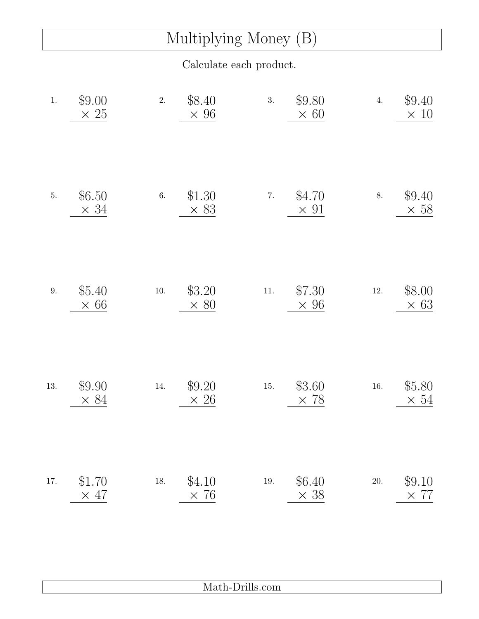## Multiplying Money (B)

Calculate each product.

| $1.$    | \$9.00<br>$\times 25$ | 2.       | \$8.40<br>$\times 96$ | 3.       | \$9.80<br>$\times 60$ | 4.       | \$9.40<br>$\times$ 10 |
|---------|-----------------------|----------|-----------------------|----------|-----------------------|----------|-----------------------|
| $5. \,$ | \$6.50<br>$\times$ 34 | $6. \,$  | \$1.30<br>$\times$ 83 | 7.       | \$4.70<br>$\times$ 91 | 8.       | \$9.40<br>$\times 58$ |
| $9. \,$ | \$5.40<br>$\times 66$ | $10. \,$ | \$3.20<br>$\times 80$ | $11. \,$ | \$7.30<br>$\times 96$ | $12. \,$ | \$8.00<br>$\times$ 63 |
| 13.     | \$9.90<br>$\times 84$ | $14. \,$ | \$9.20<br>$\times 26$ | $15. \,$ | \$3.60<br>$\times 78$ | $16. \,$ | \$5.80<br>$\times 54$ |
| 17.     | \$1.70<br>$\times$ 47 | $18. \,$ | \$4.10<br>$\times 76$ | $19. \,$ | \$6.40<br>$\times$ 38 | $20. \,$ | \$9.10<br>$\times 77$ |